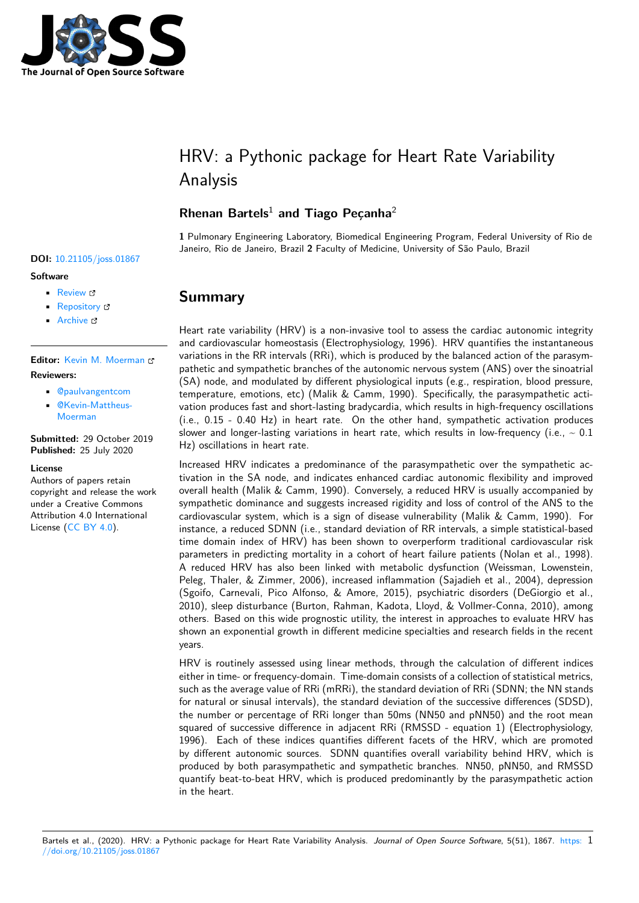

# HRV: a Pythonic package for Heart Rate Variability Analysis

### **Rhenan Bartels**<sup>1</sup> **and Tiago Peçanha**<sup>2</sup>

**1** Pulmonary Engineering Laboratory, Biomedical Engineering Program, Federal University of Rio de Janeiro, Rio de Janeiro, Brazil **2** Faculty of Medicine, University of São Paulo, Brazil

# **Summary**

Heart rate variability (HRV) is a non-invasive tool to assess the cardiac autonomic integrity and cardiovascular homeostasis (Electrophysiology, 1996). HRV quantifies the instantaneous variations in the RR intervals (RRi), which is produced by the balanced action of the parasympathetic and sympathetic branches of the autonomic nervous system (ANS) over the sinoatrial (SA) node, and modulated by different physiological inputs (e.g., respiration, blood pressure, temperature, emotions, etc) (Malik & Camm, 1990). Specifically, the parasympathetic activation produces fast and short-lasting bradycardia, which results in high-frequency oscillations (i.e., 0.15 - 0.40 Hz) in heart rate. On the other hand, sympathetic activation produces slower and longer-lasting variations in heart rate, which results in low-frequency (i.e.,  $\sim 0.1$ ) Hz) oscillations in heart rate.

Increased HRV indicates a predominance of the parasympathetic over the sympathetic activation in the SA node, and indicates enhanced cardiac autonomic flexibility and improved overall health (Malik & Camm, 1990). Conversely, a reduced HRV is usually accompanied by sympathetic dominance and suggests increased rigidity and loss of control of the ANS to the cardiovascular system, which is a sign of disease vulnerability (Malik & Camm, 1990). For instance, a reduced SDNN (i.e., standard deviation of RR intervals, a simple statistical-based time domain index of HRV) has been shown to overperform traditional cardiovascular risk parameters in predicting mortality in a cohort of heart failure patients (Nolan et al., 1998). A reduced HRV has also been linked with metabolic dysfunction (Weissman, Lowenstein, Peleg, Thaler, & Zimmer, 2006), increased inflammation (Sajadieh et al., 2004), depression (Sgoifo, Carnevali, Pico Alfonso, & Amore, 2015), psychiatric disorders (DeGiorgio et al., 2010), sleep disturbance (Burton, Rahman, Kadota, Lloyd, & Vollmer-Conna, 2010), among others. Based on this wide prognostic utility, the interest in approaches to evaluate HRV has shown an exponential growth in different medicine specialties and research fields in the recent years.

HRV is routinely assessed using linear methods, through the calculation of different indices either in time- or frequency-domain. Time-domain consists of a collection of statistical metrics, such as the average value of RRi (mRRi), the standard deviation of RRi (SDNN; the NN stands for natural or sinusal intervals), the standard deviation of the successive differences (SDSD), the number or percentage of RRi longer than 50ms (NN50 and pNN50) and the root mean squared of successive difference in adjacent RRi (RMSSD - equation 1) (Electrophysiology, 1996). Each of these indices quantifies different facets of the HRV, which are promoted by different autonomic sources. SDNN quantifies overall variability behind HRV, which is produced by both parasympathetic and sympathetic branches. NN50, pNN50, and RMSSD quantify beat-to-beat HRV, which is produced predominantly by the parasympathetic action in the heart.

#### **DOI:** 10.21105/joss.01867

#### **Software**

- Review L'
- [Repository](https://doi.org/10.21105/joss.01867) &
- Archive

#### **Editor:** [Kevin M.](https://github.com/rhenanbartels/hrv) Moerman **Revie[wers:](https://doi.org/10.5281/zenodo.3960216)**

- @paulvangentcom
- @Kevin-Mattheus-[Moerman](https://kevinmoerman.org)

**Submitted:** [29 October](https://github.com/paulvangentcom) 2019 **Published:** [25 July 2020](https://github.com/Kevin-Mattheus-Moerman)

#### **Licen[se](https://github.com/Kevin-Mattheus-Moerman)**

Authors of papers retain copyright and release the work under a Creative Commons Attribution 4.0 International License (CC BY 4.0).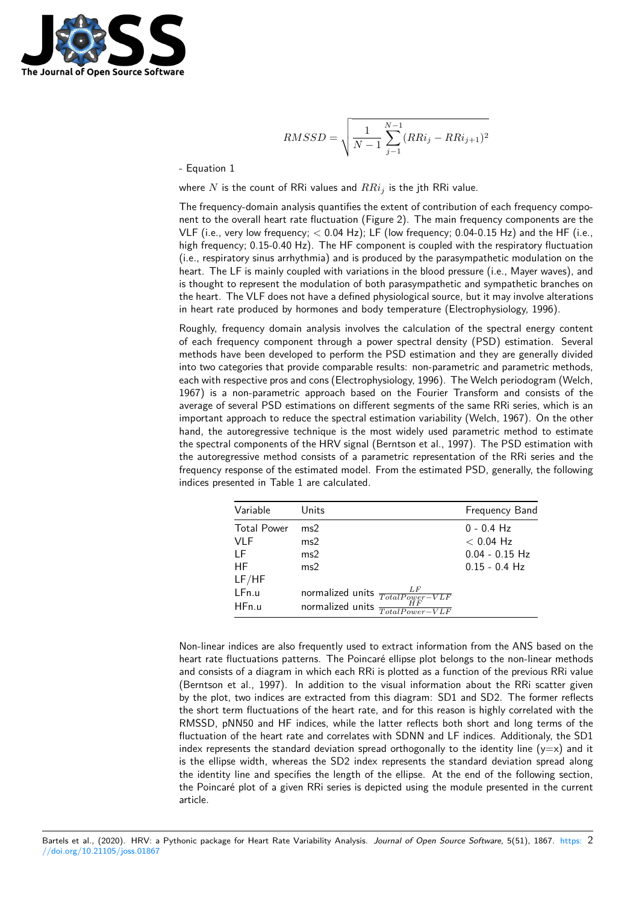

$$
RMSSD = \sqrt{\frac{1}{N-1} \sum_{j=1}^{N-1} (RRi_j - RRi_{j+1})^2}
$$

- Equation 1

where *N* is the count of RRi values and *RRi<sup>j</sup>* is the jth RRi value.

The frequency-domain analysis quantifies the extent of contribution of each frequency component to the overall heart rate fluctuation (Figure 2). The main frequency components are the VLF (i.e., very low frequency; *<* 0.04 Hz); LF (low frequency; 0.04-0.15 Hz) and the HF (i.e., high frequency; 0.15-0.40 Hz). The HF component is coupled with the respiratory fluctuation (i.e., respiratory sinus arrhythmia) and is produced by the parasympathetic modulation on the heart. The LF is mainly coupled with variations in the blood pressure (i.e., Mayer waves), and is thought to represent the modulation of both parasympathetic and sympathetic branches on the heart. The VLF does not have a defined physiological source, but it may involve alterations in heart rate produced by hormones and body temperature (Electrophysiology, 1996).

Roughly, frequency domain analysis involves the calculation of the spectral energy content of each frequency component through a power spectral density (PSD) estimation. Several methods have been developed to perform the PSD estimation and they are generally divided into two categories that provide comparable results: non-parametric and parametric methods, each with respective pros and cons (Electrophysiology, 1996). The Welch periodogram (Welch, 1967) is a non-parametric approach based on the Fourier Transform and consists of the average of several PSD estimations on different segments of the same RRi series, which is an important approach to reduce the spectral estimation variability (Welch, 1967). On the other hand, the autoregressive technique is the most widely used parametric method to estimate the spectral components of the HRV signal (Berntson et al., 1997). The PSD estimation with the autoregressive method consists of a parametric representation of the RRi series and the frequency response of the estimated model. From the estimated PSD, generally, the following indices presented in Table 1 are calculated.

| Variable                              | Units                                                                                            | <b>Frequency Band</b>                                              |
|---------------------------------------|--------------------------------------------------------------------------------------------------|--------------------------------------------------------------------|
| <b>Total Power</b><br>VLF<br>LF<br>НF | ms2<br>ms2<br>ms2<br>ms2                                                                         | $0 - 0.4$ Hz<br>$< 0.04$ Hz<br>$0.04 - 0.15$ Hz<br>$0.15 - 0.4$ Hz |
| LF/HF<br>LFn.u<br>HFn.u               | normalized units $\frac{LF}{TotalPower-VLF}$<br>normalized units $\frac{H F}{Total Power - VLF}$ |                                                                    |

Non-linear indices are also frequently used to extract information from the ANS based on the heart rate fluctuations patterns. The Poincaré ellipse plot belongs to the non-linear methods and consists of a diagram in which each RRi is plotted as a function of the previous RRi value (Berntson et al., 1997). In addition to the visual information about the RRi scatter given by the plot, two indices are extracted from this diagram: SD1 and SD2. The former reflects the short term fluctuations of the heart rate, and for this reason is highly correlated with the RMSSD, pNN50 and HF indices, while the latter reflects both short and long terms of the fluctuation of the heart rate and correlates with SDNN and LF indices. Additionaly, the SD1 index represents the standard deviation spread orthogonally to the identity line  $(y=x)$  and it is the ellipse width, whereas the SD2 index represents the standard deviation spread along the identity line and specifies the length of the ellipse. At the end of the following section, the Poincaré plot of a given RRi series is depicted using the module presented in the current article.

Bartels et al., (2020). HRV: a Pythonic package for Heart Rate Variability Analysis. *Journal of Open Source Software*, 5(51), 1867. https: 2//doi.org/10.21105/joss.01867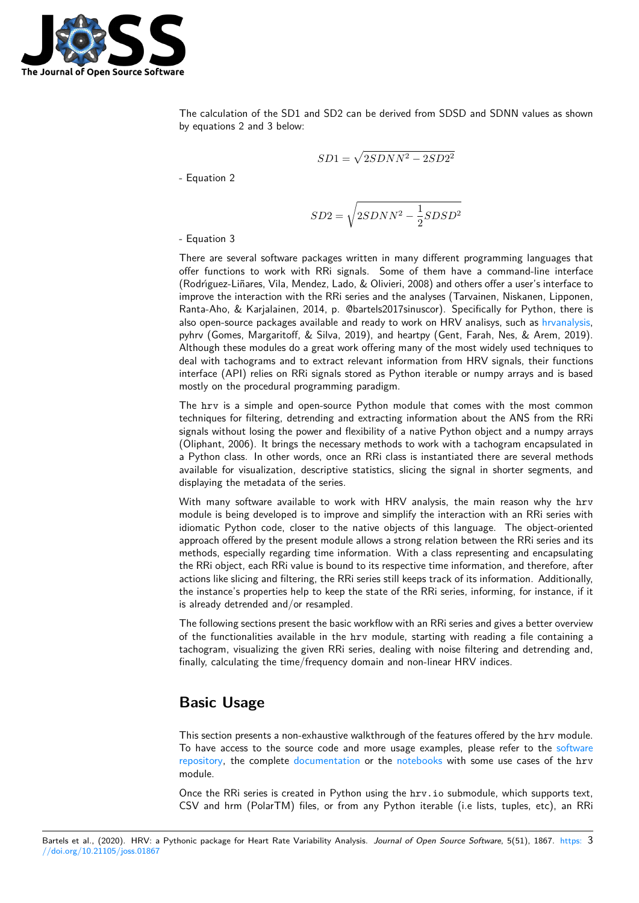

The calculation of the SD1 and SD2 can be derived from SDSD and SDNN values as shown by equations 2 and 3 below:

$$
SD1 = \sqrt{2SDNN^2 - 2SD2^2}
$$

- Equation 2

$$
SD2 = \sqrt{2SDNN^2 - \frac{1}{2}SDSD^2}
$$

- Equation 3

There are several software packages written in many different programming languages that offer functions to work with RRi signals. Some of them have a command-line interface (Rodrı́guez-Liñares, Vila, Mendez, Lado, & Olivieri, 2008) and others offer a user's interface to improve the interaction with the RRi series and the analyses (Tarvainen, Niskanen, Lipponen, Ranta-Aho, & Karjalainen, 2014, p. @bartels2017sinuscor). Specifically for Python, there is also open-source packages available and ready to work on HRV analisys, such as hrvanalysis, pyhrv (Gomes, Margaritoff, & Silva, 2019), and heartpy (Gent, Farah, Nes, & Arem, 2019). Although these modules do a great work offering many of the most widely used techniques to deal with tachograms and to extract relevant information from HRV signals, their functions interface (API) relies on RRi signals stored as Python iterable or numpy arrays [and is based](https://github.com/Aura-healthcare/hrvanalysis) mostly on the procedural programming paradigm.

The hrv is a simple and open-source Python module that comes with the most common techniques for filtering, detrending and extracting information about the ANS from the RRi signals without losing the power and flexibility of a native Python object and a numpy arrays (Oliphant, 2006). It brings the necessary methods to work with a tachogram encapsulated in a Python class. In other words, once an RRi class is instantiated there are several methods available for visualization, descriptive statistics, slicing the signal in shorter segments, and displaying the metadata of the series.

With many software available to work with HRV analysis, the main reason why the hrv module is being developed is to improve and simplify the interaction with an RRi series with idiomatic Python code, closer to the native objects of this language. The object-oriented approach offered by the present module allows a strong relation between the RRi series and its methods, especially regarding time information. With a class representing and encapsulating the RRi object, each RRi value is bound to its respective time information, and therefore, after actions like slicing and filtering, the RRi series still keeps track of its information. Additionally, the instance's properties help to keep the state of the RRi series, informing, for instance, if it is already detrended and/or resampled.

The following sections present the basic workflow with an RRi series and gives a better overview of the functionalities available in the hrv module, starting with reading a file containing a tachogram, visualizing the given RRi series, dealing with noise filtering and detrending and, finally, calculating the time/frequency domain and non-linear HRV indices.

# **Basic Usage**

This section presents a non-exhaustive walkthrough of the features offered by the hrv module. To have access to the source code and more usage examples, please refer to the software repository, the complete documentation or the notebooks with some use cases of the hrv module.

Once the RRi series is created in Python using the hrv.io submodule, which supports text, [CSV and](https://github.com/rhenanbartels/hrv) hrm (PolarTM[\) files, or from](https://hrv.readthedocs.io/en/latest/index.html) any Py[thon iterab](https://github.com/rhenanbartels/hrv/tree/master/notebooks)le (i.e lists, tuples, etc), [an RRi](https://github.com/rhenanbartels/hrv)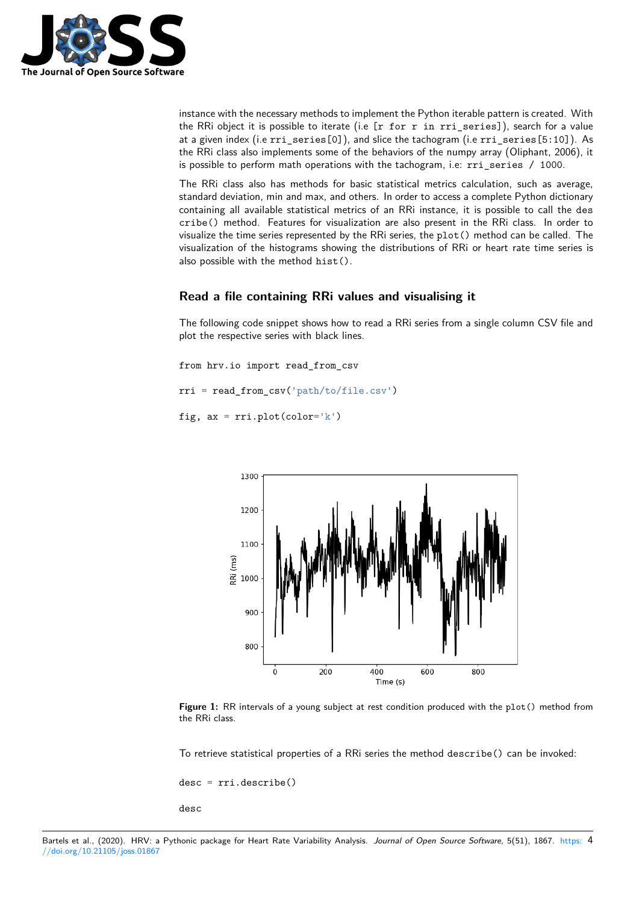

instance with the necessary methods to implement the Python iterable pattern is created. With the RRi object it is possible to iterate (i.e  $[r \text{ for } r \text{ in } r\text{ is series}]$ ), search for a value at a given index (i.e rri\_series[0]), and slice the tachogram (i.e rri\_series[5:10]). As the RRi class also implements some of the behaviors of the numpy array (Oliphant, 2006), it is possible to perform math operations with the tachogram, i.e: rri\_series / 1000.

The RRi class also has methods for basic statistical metrics calculation, such as average, standard deviation, min and max, and others. In order to access a complete Python dictionary containing all available statistical metrics of an RRi instance, it is possible to call the des cribe() method. Features for visualization are also present in the RRi class. In order to visualize the time series represented by the RRi series, the plot() method can be called. The visualization of the histograms showing the distributions of RRi or heart rate time series is also possible with the method hist().

#### **Read a file containing RRi values and visualising it**

The following code snippet shows how to read a RRi series from a single column CSV file and plot the respective series with black lines.

from hrv.io import read\_from\_csv rri = read\_from\_csv('path/to/file.csv') fig,  $ax = rri.plot(color='k')$ 



**Figure 1:** RR intervals of a young subject at rest condition produced with the plot() method from the RRi class.

To retrieve statistical properties of a RRi series the method describe() can be invoked:

desc = rri.describe()

desc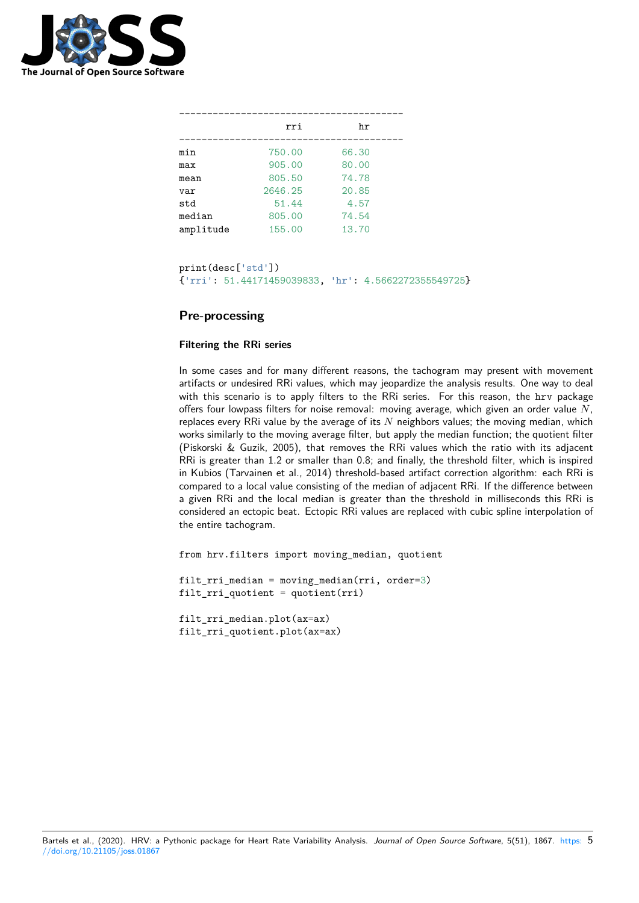

|           | rri     | hr    |  |
|-----------|---------|-------|--|
| min       | 750.00  | 66.30 |  |
| max       | 905.00  | 80.00 |  |
| mean      | 805.50  | 74.78 |  |
| var       | 2646.25 | 20.85 |  |
| std       | 51.44   | 4.57  |  |
| median    | 805.00  | 74.54 |  |
| amplitude | 155.00  | 13.70 |  |

```
print(desc['std'])
{'rri': 51.44171459039833, 'hr': 4.5662272355549725}
```
#### **Pre-processing**

#### **Filtering the RRi series**

In some cases and for many different reasons, the tachogram may present with movement artifacts or undesired RRi values, which may jeopardize the analysis results. One way to deal with this scenario is to apply filters to the RRi series. For this reason, the hrv package offers four lowpass filters for noise removal: moving average, which given an order value *N*, replaces every RRi value by the average of its *N* neighbors values; the moving median, which works similarly to the moving average filter, but apply the median function; the quotient filter (Piskorski & Guzik, 2005), that removes the RRi values which the ratio with its adjacent RRi is greater than 1.2 or smaller than 0.8; and finally, the threshold filter, which is inspired in Kubios (Tarvainen et al., 2014) threshold-based artifact correction algorithm: each RRi is compared to a local value consisting of the median of adjacent RRi. If the difference between a given RRi and the local median is greater than the threshold in milliseconds this RRi is considered an ectopic beat. Ectopic RRi values are replaced with cubic spline interpolation of the entire tachogram.

from hrv.filters import moving\_median, quotient

filt\_rri\_median = moving\_median(rri, order=3)  $filt\_rri\_quotient = quotient(rri)$ 

filt\_rri\_median.plot(ax=ax) filt\_rri\_quotient.plot(ax=ax)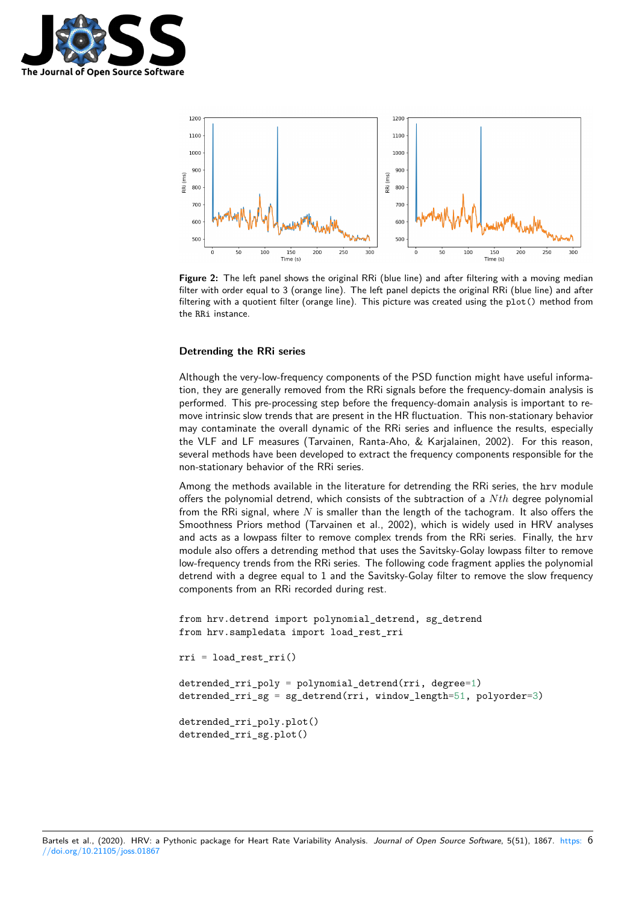



**Figure 2:** The left panel shows the original RRi (blue line) and after filtering with a moving median filter with order equal to 3 (orange line). The left panel depicts the original RRi (blue line) and after filtering with a quotient filter (orange line). This picture was created using the plot() method from the RRi instance.

#### **Detrending the RRi series**

Although the very-low-frequency components of the PSD function might have useful information, they are generally removed from the RRi signals before the frequency-domain analysis is performed. This pre-processing step before the frequency-domain analysis is important to remove intrinsic slow trends that are present in the HR fluctuation. This non-stationary behavior may contaminate the overall dynamic of the RRi series and influence the results, especially the VLF and LF measures (Tarvainen, Ranta-Aho, & Karjalainen, 2002). For this reason, several methods have been developed to extract the frequency components responsible for the non-stationary behavior of the RRi series.

Among the methods available in the literature for detrending the RRi series, the hrv module offers the polynomial detrend, which consists of the subtraction of a *N th* degree polynomial from the RRi signal, where *N* is smaller than the length of the tachogram. It also offers the Smoothness Priors method (Tarvainen et al., 2002), which is widely used in HRV analyses and acts as a lowpass filter to remove complex trends from the RRi series. Finally, the hrv module also offers a detrending method that uses the Savitsky-Golay lowpass filter to remove low-frequency trends from the RRi series. The following code fragment applies the polynomial detrend with a degree equal to 1 and the Savitsky-Golay filter to remove the slow frequency components from an RRi recorded during rest.

```
from hrv.detrend import polynomial_detrend, sg_detrend
from hrv.sampledata import load_rest_rri
```

```
rri = load_rest_rri()
detrended_rri_poly = polynomial_detrend(rri, degree=1)
detrended_rri_sg = sg_detrend(rri, window_length=51, polyorder=3)
```

```
detrended_rri_poly.plot()
detrended_rri_sg.plot()
```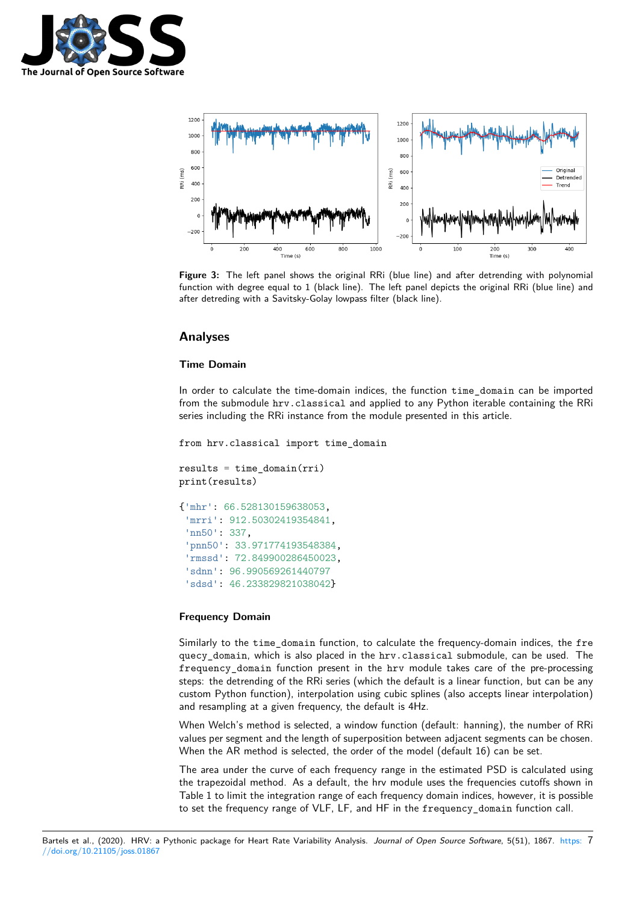



**Figure 3:** The left panel shows the original RRi (blue line) and after detrending with polynomial function with degree equal to 1 (black line). The left panel depicts the original RRi (blue line) and after detreding with a Savitsky-Golay lowpass filter (black line).

#### **Analyses**

#### **Time Domain**

In order to calculate the time-domain indices, the function time\_domain can be imported from the submodule hrv.classical and applied to any Python iterable containing the RRi series including the RRi instance from the module presented in this article.

```
from hrv.classical import time_domain
```

```
results = time\_domain(rri)print(results)
```

```
{'mhr': 66.528130159638053,
 'mrri': 912.50302419354841,
 'nn50': 337,
 'pnn50': 33.971774193548384,
 'rmssd': 72.849900286450023,
 'sdnn': 96.990569261440797
 'sdsd': 46.233829821038042}
```
#### **Frequency Domain**

Similarly to the time\_domain function, to calculate the frequency-domain indices, the fre quecy\_domain, which is also placed in the hrv.classical submodule, can be used. The frequency\_domain function present in the hrv module takes care of the pre-processing steps: the detrending of the RRi series (which the default is a linear function, but can be any custom Python function), interpolation using cubic splines (also accepts linear interpolation) and resampling at a given frequency, the default is 4Hz.

When Welch's method is selected, a window function (default: hanning), the number of RRi values per segment and the length of superposition between adjacent segments can be chosen. When the AR method is selected, the order of the model (default 16) can be set.

The area under the curve of each frequency range in the estimated PSD is calculated using the trapezoidal method. As a default, the hrv module uses the frequencies cutoffs shown in Table 1 to limit the integration range of each frequency domain indices, however, it is possible to set the frequency range of VLF, LF, and HF in the frequency\_domain function call.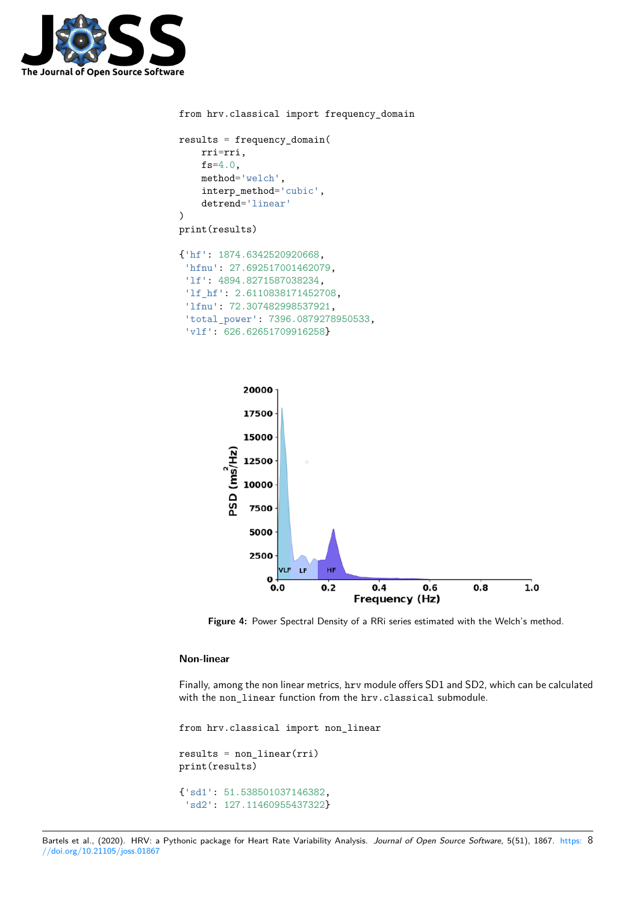

```
from hrv.classical import frequency_domain
results = frequency_domain(
    rri=rri,
    fs=4.0,
    method='welch',
    interp_method='cubic',
    detrend='linear'
)
print(results)
{'hf': 1874.6342520920668,
 'hfnu': 27.692517001462079,
 'lf': 4894.8271587038234,
 'lf_hf': 2.6110838171452708,
 'lfnu': 72.307482998537921,
 'total_power': 7396.0879278950533,
 'vlf': 626.62651709916258}
```


**Figure 4:** Power Spectral Density of a RRi series estimated with the Welch's method.

#### **Non-linear**

Finally, among the non linear metrics, hrv module offers SD1 and SD2, which can be calculated with the non\_linear function from the hrv.classical submodule.

from hrv.classical import non\_linear  $results = non-linear(rri)$ print(results) {'sd1': 51.538501037146382, 'sd2': 127.11460955437322}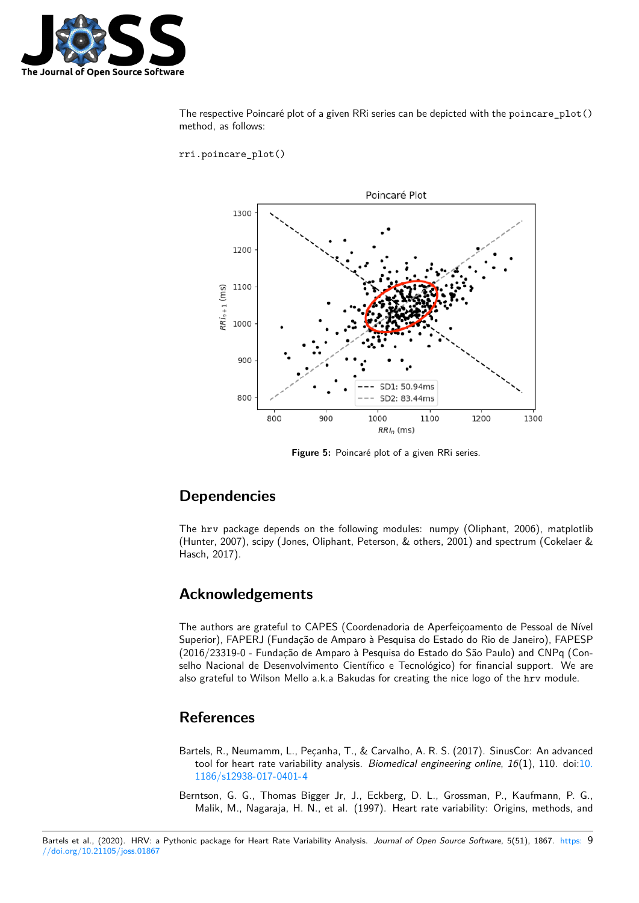

The respective Poincaré plot of a given RRi series can be depicted with the poincare\_plot() method, as follows:

rri.poincare\_plot()



**Figure 5:** Poincaré plot of a given RRi series.

# **Dependencies**

The hrv package depends on the following modules: numpy (Oliphant, 2006), matplotlib (Hunter, 2007), scipy (Jones, Oliphant, Peterson, & others, 2001) and spectrum (Cokelaer & Hasch, 2017).

### **Acknowledgements**

The authors are grateful to CAPES (Coordenadoria de Aperfeiçoamento de Pessoal de Nível Superior), FAPERJ (Fundação de Amparo à Pesquisa do Estado do Rio de Janeiro), FAPESP (2016/23319-0 - Fundação de Amparo à Pesquisa do Estado do São Paulo) and CNPq (Conselho Nacional de Desenvolvimento Científico e Tecnológico) for financial support. We are also grateful to Wilson Mello a.k.a Bakudas for creating the nice logo of the hrv module.

### **References**

- Bartels, R., Neumamm, L., Peçanha, T., & Carvalho, A. R. S. (2017). SinusCor: An advanced tool for heart rate variability analysis. *Biomedical engineering online*, *16*(1), 110. doi:10. 1186/s12938-017-0401-4
- Berntson, G. G., Thomas Bigger Jr, J., Eckberg, D. L., Grossman, P., Kaufmann, P. G., Malik, M., Nagaraja, H. N., et al. (1997). Heart rate variability: Origins, methods, [and](https://doi.org/10.1186/s12938-017-0401-4)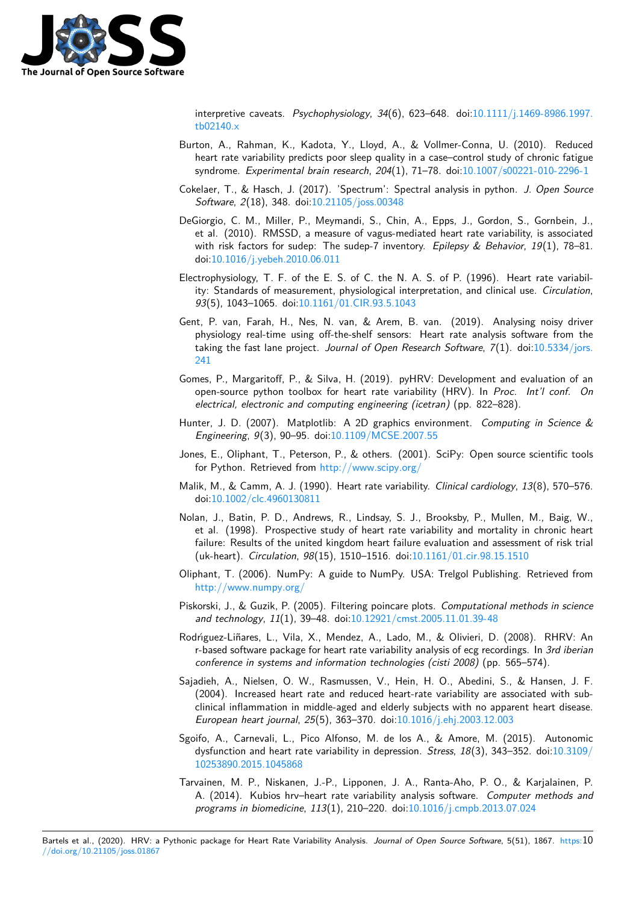

interpretive caveats. *Psychophysiology*, *34*(6), 623–648. doi:10.1111/j.1469-8986.1997. tb02140.x

- Burton, A., Rahman, K., Kadota, Y., Lloyd, A., & Vollmer-Conna, U. (2010). Reduced heart rate variability predicts poor sleep quality in a case–control study of chronic fatigue [syndrome.](https://doi.org/10.1111/j.1469-8986.1997.tb02140.x) *Experimental brain research*, *204*(1), 71–78. doi:1[0.1007/s00221-010-2296-1](https://doi.org/10.1111/j.1469-8986.1997.tb02140.x)
- Cokelaer, T., & Hasch, J. (2017). 'Spectrum': Spectral analysis in python. *J. Open Source Software*, *2*(18), 348. doi:10.21105/joss.00348
- DeGiorgio, C. M., Miller, P., Meymandi, S., Chin, A., Epps, [J., Gordon, S., Gornbein, J.](https://doi.org/10.1007/s00221-010-2296-1), et al. (2010). RMSSD, a measure of vagus-mediated heart rate variability, is associated with risk factors for sude[p: The sudep-7 inven](https://doi.org/10.21105/joss.00348)tory. *Epilepsy & Behavior*, *19*(1), 78–81. doi:10.1016/j.yebeh.2010.06.011
- Electrophysiology, T. F. of the E. S. of C. the N. A. S. of P. (1996). Heart rate variability: Standards of measurement, physiological interpretation, and clinical use. *Circulation*, *93*([5\), 1043–1065. doi:10.1161/0](https://doi.org/10.1016/j.yebeh.2010.06.011)1.CIR.93.5.1043
- Gent, P. van, Farah, H., Nes, N. van, & Arem, B. van. (2019). Analysing noisy driver physiology real-time using off-the-shelf sensors: Heart rate analysis software from the taking the fast lane project. *[Journal of Open Res](https://doi.org/10.1161/01.CIR.93.5.1043)earch Software*, *7*(1). doi:10.5334/jors. 241
- Gomes, P., Margaritoff, P., & Silva, H. (2019). pyHRV: Development and evaluation of an open-source python toolbox for heart rate variability (HRV). In *Proc. I[nt'l conf. On](https://doi.org/10.5334/jors.241) [elec](https://doi.org/10.5334/jors.241)trical, electronic and computing engineering (icetran)* (pp. 822–828).
- Hunter, J. D. (2007). Matplotlib: A 2D graphics environment. *Computing in Science & Engineering*, *9*(3), 90–95. doi:10.1109/MCSE.2007.55
- Jones, E., Oliphant, T., Peterson, P., & others. (2001). SciPy: Open source scientific tools for Python. Retrieved from http://www.scipy.org/
- Malik, M., & Camm, A. J. (1990)[. Heart rate variability.](https://doi.org/10.1109/MCSE.2007.55) *Clinical cardiology*, *13*(8), 570–576. doi:10.1002/clc.4960130811
- Nolan, J., Batin, P. D., Andre[ws, R., Lindsay, S. J.,](http://www.scipy.org/) Brooksby, P., Mullen, M., Baig, W., et al. (1998). Prospective study of heart rate variability and mortality in chronic heart fail[ure: Results of the united](https://doi.org/10.1002/clc.4960130811) kingdom heart failure evaluation and assessment of risk trial (uk-heart). *Circulation*, *98*(15), 1510–1516. doi:10.1161/01.cir.98.15.1510
- Oliphant, T. (2006). NumPy: A guide to NumPy. USA: Trelgol Publishing. Retrieved from http://www.numpy.org/
- Piskorski, J., & Guzik, P. (2005). Filtering poincare plots. *[Computational meth](https://doi.org/10.1161/01.cir.98.15.1510)ods in science and technology*, *11*(1), 39–48. doi:10.12921/cmst.2005.11.01.39-48
- Ro[drı́guez-Liñares, L., Vila,](http://www.numpy.org/) X., Mendez, A., Lado, M., & Olivieri, D. (2008). RHRV: An r-based software package for heart rate variability analysis of ecg recordings. In *3rd iberian conference in systems and informa[tion technologies \(cisti 2008\)](https://doi.org/10.12921/cmst.2005.11.01.39-48)* (pp. 565–574).
- Sajadieh, A., Nielsen, O. W., Rasmussen, V., Hein, H. O., Abedini, S., & Hansen, J. F. (2004). Increased heart rate and reduced heart-rate variability are associated with subclinical inflammation in middle-aged and elderly subjects with no apparent heart disease. *European heart journal*, *25*(5), 363–370. doi:10.1016/j.ehj.2003.12.003
- Sgoifo, A., Carnevali, L., Pico Alfonso, M. de los A., & Amore, M. (2015). Autonomic dysfunction and heart rate variability in depression. *Stress*, *18*(3), 343–352. doi:10.3109/ 10253890.2015.1045868
- Tarvainen, M. P., Niskanen, J.-P., Lipponen, J[. A., Ranta-Aho, P. O., &](https://doi.org/10.1016/j.ehj.2003.12.003) Karjalainen, P. A. (2014). Kubios hrv–heart rate variability analysis software. *Computer met[hods and](https://doi.org/10.3109/10253890.2015.1045868) [programs in biomedicine](https://doi.org/10.3109/10253890.2015.1045868)*, *113*(1), 210–220. doi:10.1016/j.cmpb.2013.07.024